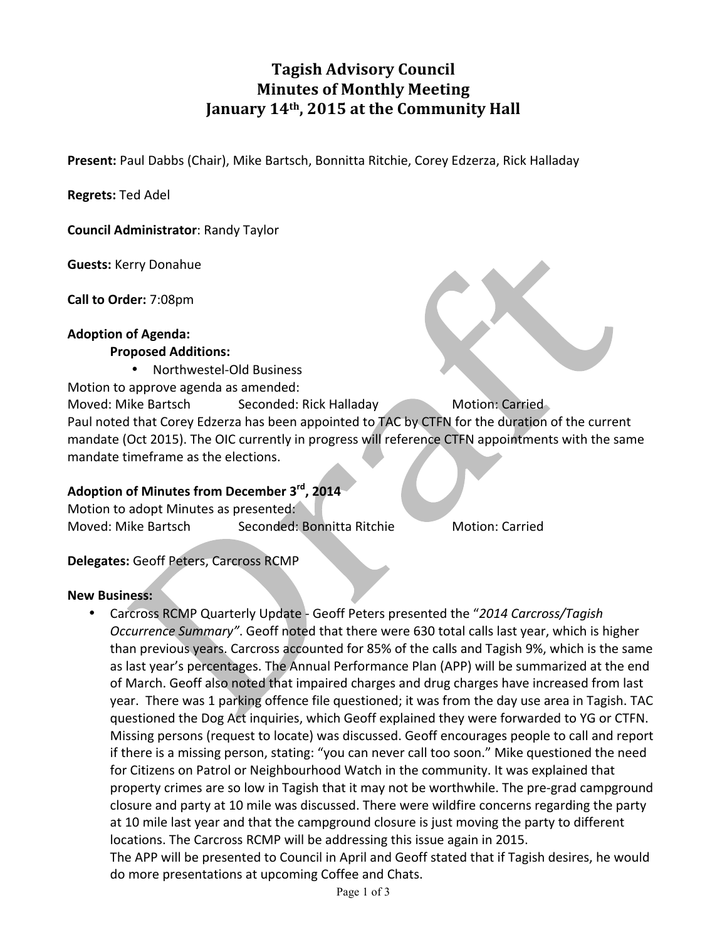# **Tagish Advisory Council Minutes of Monthly Meeting** January 14<sup>th</sup>, 2015 at the Community Hall

**Present:** Paul Dabbs (Chair), Mike Bartsch, Bonnitta Ritchie, Corey Edzerza, Rick Halladay

**Regrets:** Ted Adel

**Council Administrator: Randy Taylor** 

**Guests:** Kerry Donahue

**Call to Order:** 7:08pm

#### **Adoption of Agenda:**

#### **Proposed Additions:**

• Northwestel-Old Business

Motion to approve agenda as amended:

Moved: Mike Bartsch Seconded: Rick Halladay Motion: Carried Paul noted that Corey Edzerza has been appointed to TAC by CTFN for the duration of the current mandate (Oct 2015). The OIC currently in progress will reference CTFN appointments with the same mandate timeframe as the elections.

#### Adoption of Minutes from December 3<sup>rd</sup>, 2014

Motion to adopt Minutes as presented: Moved: Mike Bartsch Seconded: Bonnitta Ritchie Motion: Carried

#### **Delegates:** Geoff Peters, Carcross RCMP

#### **New Business:**

• Carcross RCMP Quarterly Update - Geoff Peters presented the "2014 Carcross/Tagish *Occurrence Summary"*. Geoff noted that there were 630 total calls last year, which is higher than previous years. Carcross accounted for 85% of the calls and Tagish 9%, which is the same as last year's percentages. The Annual Performance Plan (APP) will be summarized at the end of March. Geoff also noted that impaired charges and drug charges have increased from last year. There was 1 parking offence file questioned; it was from the day use area in Tagish. TAC questioned the Dog Act inquiries, which Geoff explained they were forwarded to YG or CTFN. Missing persons (request to locate) was discussed. Geoff encourages people to call and report if there is a missing person, stating: "you can never call too soon." Mike questioned the need for Citizens on Patrol or Neighbourhood Watch in the community. It was explained that property crimes are so low in Tagish that it may not be worthwhile. The pre-grad campground closure and party at 10 mile was discussed. There were wildfire concerns regarding the party at 10 mile last year and that the campground closure is just moving the party to different locations. The Carcross RCMP will be addressing this issue again in 2015. The APP will be presented to Council in April and Geoff stated that if Tagish desires, he would do more presentations at upcoming Coffee and Chats.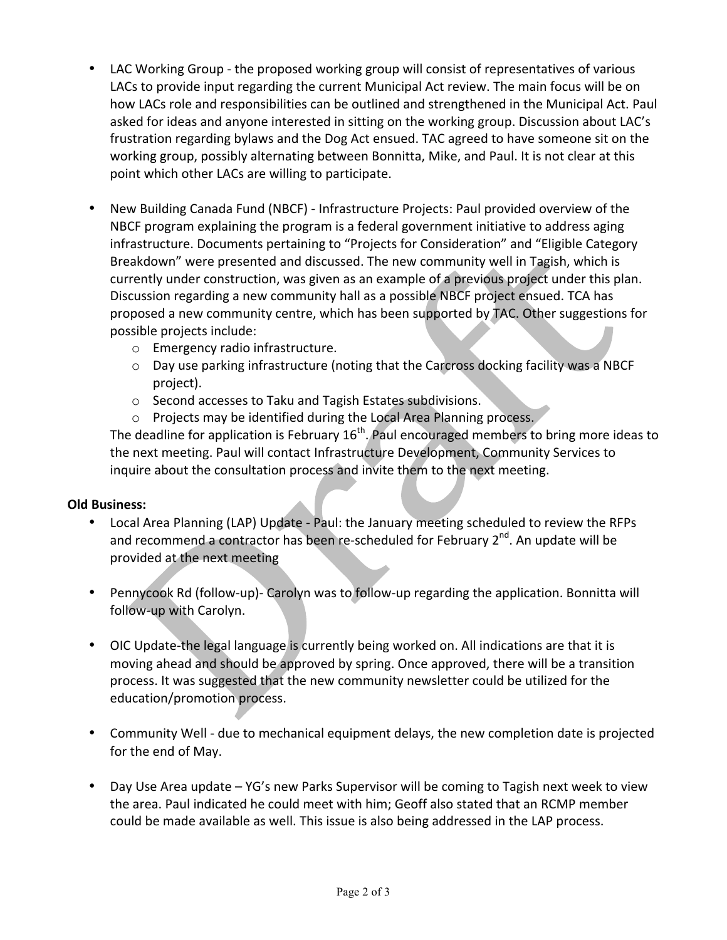- LAC Working Group the proposed working group will consist of representatives of various LACs to provide input regarding the current Municipal Act review. The main focus will be on how LACs role and responsibilities can be outlined and strengthened in the Municipal Act. Paul asked for ideas and anyone interested in sitting on the working group. Discussion about LAC's frustration regarding bylaws and the Dog Act ensued. TAC agreed to have someone sit on the working group, possibly alternating between Bonnitta, Mike, and Paul. It is not clear at this point which other LACs are willing to participate.
- New Building Canada Fund (NBCF) Infrastructure Projects: Paul provided overview of the NBCF program explaining the program is a federal government initiative to address aging infrastructure. Documents pertaining to "Projects for Consideration" and "Eligible Category Breakdown" were presented and discussed. The new community well in Tagish, which is currently under construction, was given as an example of a previous project under this plan. Discussion regarding a new community hall as a possible NBCF project ensued. TCA has proposed a new community centre, which has been supported by TAC. Other suggestions for possible projects include:
	- o Emergency radio infrastructure.
	- $\circ$  Day use parking infrastructure (noting that the Carcross docking facility was a NBCF project).
	- $\circ$  Second accesses to Taku and Tagish Estates subdivisions.
	- o Projects may be identified during the Local Area Planning process.

The deadline for application is February  $16<sup>th</sup>$ . Paul encouraged members to bring more ideas to the next meeting. Paul will contact Infrastructure Development, Community Services to inquire about the consultation process and invite them to the next meeting.

## **Old Business:**

- Local Area Planning (LAP) Update Paul: the January meeting scheduled to review the RFPs and recommend a contractor has been re-scheduled for February 2<sup>nd</sup>. An update will be provided at the next meeting
- Pennycook Rd (follow-up)- Carolyn was to follow-up regarding the application. Bonnitta will follow-up with Carolyn.
- OIC Update-the legal language is currently being worked on. All indications are that it is moving ahead and should be approved by spring. Once approved, there will be a transition process. It was suggested that the new community newsletter could be utilized for the education/promotion process.
- Community Well due to mechanical equipment delays, the new completion date is projected for the end of May.
- Day Use Area update YG's new Parks Supervisor will be coming to Tagish next week to view the area. Paul indicated he could meet with him; Geoff also stated that an RCMP member could be made available as well. This issue is also being addressed in the LAP process.